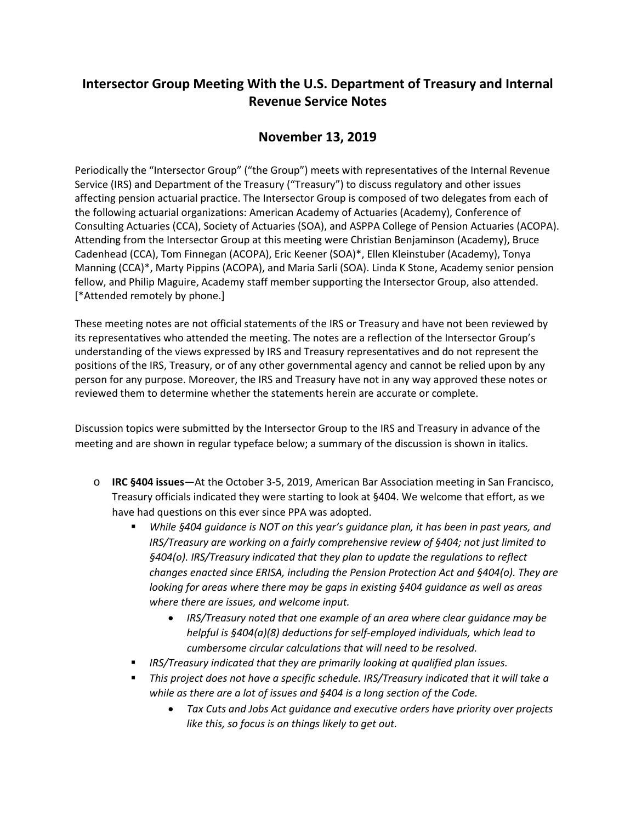## **Intersector Group Meeting With the U.S. Department of Treasury and Internal Revenue Service Notes**

## **November 13, 2019**

Periodically the "Intersector Group" ("the Group") meets with representatives of the Internal Revenue Service (IRS) and Department of the Treasury ("Treasury") to discuss regulatory and other issues affecting pension actuarial practice. The Intersector Group is composed of two delegates from each of the following actuarial organizations: American Academy of Actuaries (Academy), Conference of Consulting Actuaries (CCA), Society of Actuaries (SOA), and ASPPA College of Pension Actuaries (ACOPA). Attending from the Intersector Group at this meeting were Christian Benjaminson (Academy), Bruce Cadenhead (CCA), Tom Finnegan (ACOPA), Eric Keener (SOA)\*, Ellen Kleinstuber (Academy), Tonya Manning (CCA)\*, Marty Pippins (ACOPA), and Maria Sarli (SOA). Linda K Stone, Academy senior pension fellow, and Philip Maguire, Academy staff member supporting the Intersector Group, also attended. [\*Attended remotely by phone.]

These meeting notes are not official statements of the IRS or Treasury and have not been reviewed by its representatives who attended the meeting. The notes are a reflection of the Intersector Group's understanding of the views expressed by IRS and Treasury representatives and do not represent the positions of the IRS, Treasury, or of any other governmental agency and cannot be relied upon by any person for any purpose. Moreover, the IRS and Treasury have not in any way approved these notes or reviewed them to determine whether the statements herein are accurate or complete.

Discussion topics were submitted by the Intersector Group to the IRS and Treasury in advance of the meeting and are shown in regular typeface below; a summary of the discussion is shown in italics.

- o **IRC §404 issues**—At the October 3-5, 2019, American Bar Association meeting in San Francisco, Treasury officials indicated they were starting to look at §404. We welcome that effort, as we have had questions on this ever since PPA was adopted.
	- *While §404 guidance is NOT on this year's guidance plan, it has been in past years, and IRS/Treasury are working on a fairly comprehensive review of §404; not just limited to §404(o). IRS/Treasury indicated that they plan to update the regulations to reflect changes enacted since ERISA, including the Pension Protection Act and §404(o). They are looking for areas where there may be gaps in existing §404 guidance as well as areas where there are issues, and welcome input.*
		- *IRS/Treasury noted that one example of an area where clear guidance may be helpful is §404(a)(8) deductions for self-employed individuals, which lead to cumbersome circular calculations that will need to be resolved.*
	- *IRS/Treasury indicated that they are primarily looking at qualified plan issues.*
	- *This project does not have a specific schedule. IRS/Treasury indicated that it will take a while as there are a lot of issues and §404 is a long section of the Code.*
		- *Tax Cuts and Jobs Act guidance and executive orders have priority over projects like this, so focus is on things likely to get out.*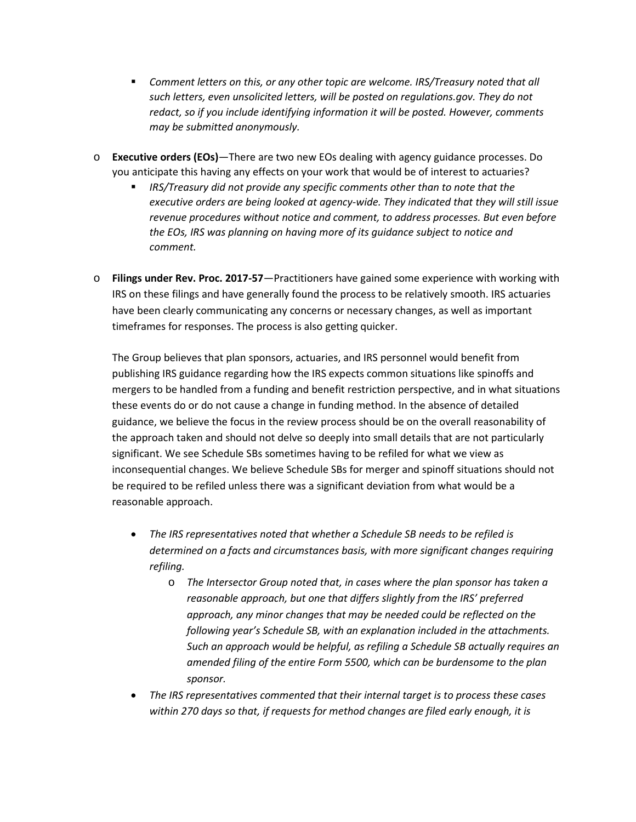- *Comment letters on this, or any other topic are welcome. IRS/Treasury noted that all such letters, even unsolicited letters, will be posted on regulations.gov. They do not redact, so if you include identifying information it will be posted. However, comments may be submitted anonymously.*
- o **Executive orders (EOs)**—There are two new EOs dealing with agency guidance processes. Do you anticipate this having any effects on your work that would be of interest to actuaries?
	- *IRS/Treasury did not provide any specific comments other than to note that the executive orders are being looked at agency-wide. They indicated that they will still issue revenue procedures without notice and comment, to address processes. But even before the EOs, IRS was planning on having more of its guidance subject to notice and comment.*
- o **Filings under Rev. Proc. 2017-57**—Practitioners have gained some experience with working with IRS on these filings and have generally found the process to be relatively smooth. IRS actuaries have been clearly communicating any concerns or necessary changes, as well as important timeframes for responses. The process is also getting quicker.

The Group believes that plan sponsors, actuaries, and IRS personnel would benefit from publishing IRS guidance regarding how the IRS expects common situations like spinoffs and mergers to be handled from a funding and benefit restriction perspective, and in what situations these events do or do not cause a change in funding method. In the absence of detailed guidance, we believe the focus in the review process should be on the overall reasonability of the approach taken and should not delve so deeply into small details that are not particularly significant. We see Schedule SBs sometimes having to be refiled for what we view as inconsequential changes. We believe Schedule SBs for merger and spinoff situations should not be required to be refiled unless there was a significant deviation from what would be a reasonable approach.

- *The IRS representatives noted that whether a Schedule SB needs to be refiled is determined on a facts and circumstances basis, with more significant changes requiring refiling.*
	- o *The Intersector Group noted that, in cases where the plan sponsor has taken a reasonable approach, but one that differs slightly from the IRS' preferred approach, any minor changes that may be needed could be reflected on the following year's Schedule SB, with an explanation included in the attachments. Such an approach would be helpful, as refiling a Schedule SB actually requires an amended filing of the entire Form 5500, which can be burdensome to the plan sponsor.*
- *The IRS representatives commented that their internal target is to process these cases within 270 days so that, if requests for method changes are filed early enough, it is*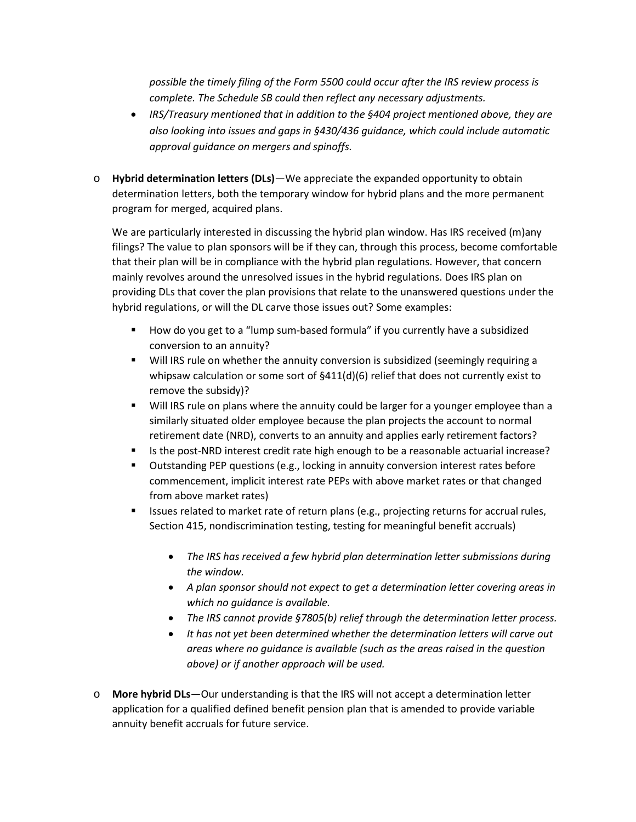*possible the timely filing of the Form 5500 could occur after the IRS review process is complete. The Schedule SB could then reflect any necessary adjustments.*

- *IRS/Treasury mentioned that in addition to the §404 project mentioned above, they are also looking into issues and gaps in §430/436 guidance, which could include automatic approval guidance on mergers and spinoffs.*
- o **Hybrid determination letters (DLs)**—We appreciate the expanded opportunity to obtain determination letters, both the temporary window for hybrid plans and the more permanent program for merged, acquired plans.

We are particularly interested in discussing the hybrid plan window. Has IRS received (m)any filings? The value to plan sponsors will be if they can, through this process, become comfortable that their plan will be in compliance with the hybrid plan regulations. However, that concern mainly revolves around the unresolved issues in the hybrid regulations. Does IRS plan on providing DLs that cover the plan provisions that relate to the unanswered questions under the hybrid regulations, or will the DL carve those issues out? Some examples:

- How do you get to a "lump sum-based formula" if you currently have a subsidized conversion to an annuity?
- Will IRS rule on whether the annuity conversion is subsidized (seemingly requiring a whipsaw calculation or some sort of  $\frac{6411}{d}$ (6) relief that does not currently exist to remove the subsidy)?
- Will IRS rule on plans where the annuity could be larger for a younger employee than a similarly situated older employee because the plan projects the account to normal retirement date (NRD), converts to an annuity and applies early retirement factors?
- Is the post-NRD interest credit rate high enough to be a reasonable actuarial increase?
- Outstanding PEP questions (e.g., locking in annuity conversion interest rates before commencement, implicit interest rate PEPs with above market rates or that changed from above market rates)
- **In Itsues related to market rate of return plans (e.g., projecting returns for accrual rules,** Section 415, nondiscrimination testing, testing for meaningful benefit accruals)
	- *The IRS has received a few hybrid plan determination letter submissions during the window.*
	- *A plan sponsor should not expect to get a determination letter covering areas in which no guidance is available.*
	- *The IRS cannot provide §7805(b) relief through the determination letter process.*
	- *It has not yet been determined whether the determination letters will carve out areas where no guidance is available (such as the areas raised in the question above) or if another approach will be used.*
- o **More hybrid DLs**—Our understanding is that the IRS will not accept a determination letter application for a qualified defined benefit pension plan that is amended to provide variable annuity benefit accruals for future service.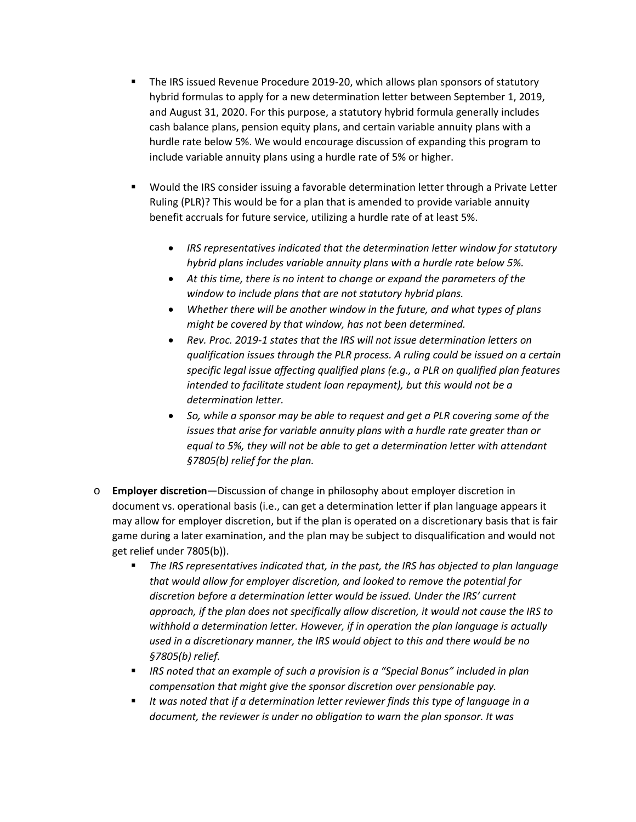- The IRS issued Revenue Procedure 2019-20, which allows plan sponsors of statutory hybrid formulas to apply for a new determination letter between September 1, 2019, and August 31, 2020. For this purpose, a statutory hybrid formula generally includes cash balance plans, pension equity plans, and certain variable annuity plans with a hurdle rate below 5%. We would encourage discussion of expanding this program to include variable annuity plans using a hurdle rate of 5% or higher.
- **UX** Would the IRS consider issuing a favorable determination letter through a Private Letter Ruling (PLR)? This would be for a plan that is amended to provide variable annuity benefit accruals for future service, utilizing a hurdle rate of at least 5%.
	- *IRS representatives indicated that the determination letter window for statutory hybrid plans includes variable annuity plans with a hurdle rate below 5%.*
	- *At this time, there is no intent to change or expand the parameters of the window to include plans that are not statutory hybrid plans.*
	- *Whether there will be another window in the future, and what types of plans might be covered by that window, has not been determined.*
	- *Rev. Proc. 2019-1 states that the IRS will not issue determination letters on qualification issues through the PLR process. A ruling could be issued on a certain specific legal issue affecting qualified plans (e.g., a PLR on qualified plan features intended to facilitate student loan repayment), but this would not be a determination letter.*
	- *So, while a sponsor may be able to request and get a PLR covering some of the issues that arise for variable annuity plans with a hurdle rate greater than or equal to 5%, they will not be able to get a determination letter with attendant §7805(b) relief for the plan.*
- o **Employer discretion**—Discussion of change in philosophy about employer discretion in document vs. operational basis (i.e., can get a determination letter if plan language appears it may allow for employer discretion, but if the plan is operated on a discretionary basis that is fair game during a later examination, and the plan may be subject to disqualification and would not get relief under 7805(b)).
	- *The IRS representatives indicated that, in the past, the IRS has objected to plan language that would allow for employer discretion, and looked to remove the potential for discretion before a determination letter would be issued. Under the IRS' current approach, if the plan does not specifically allow discretion, it would not cause the IRS to withhold a determination letter. However, if in operation the plan language is actually used in a discretionary manner, the IRS would object to this and there would be no §7805(b) relief.*
	- *IRS noted that an example of such a provision is a "Special Bonus" included in plan compensation that might give the sponsor discretion over pensionable pay.*
	- *It was noted that if a determination letter reviewer finds this type of language in a document, the reviewer is under no obligation to warn the plan sponsor. It was*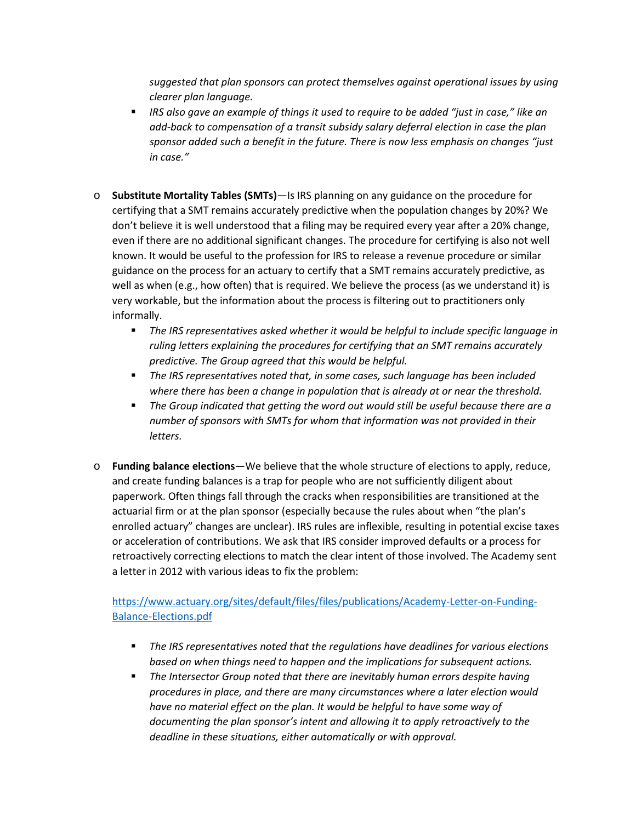*suggested that plan sponsors can protect themselves against operational issues by using clearer plan language.*

- *IRS also gave an example of things it used to require to be added "just in case," like an add-back to compensation of a transit subsidy salary deferral election in case the plan sponsor added such a benefit in the future. There is now less emphasis on changes "just in case."*
- o **Substitute Mortality Tables (SMTs)**—Is IRS planning on any guidance on the procedure for certifying that a SMT remains accurately predictive when the population changes by 20%? We don't believe it is well understood that a filing may be required every year after a 20% change, even if there are no additional significant changes. The procedure for certifying is also not well known. It would be useful to the profession for IRS to release a revenue procedure or similar guidance on the process for an actuary to certify that a SMT remains accurately predictive, as well as when (e.g., how often) that is required. We believe the process (as we understand it) is very workable, but the information about the process is filtering out to practitioners only informally.
	- *The IRS representatives asked whether it would be helpful to include specific language in ruling letters explaining the procedures for certifying that an SMT remains accurately predictive. The Group agreed that this would be helpful.*
	- *The IRS representatives noted that, in some cases, such language has been included where there has been a change in population that is already at or near the threshold.*
	- *The Group indicated that getting the word out would still be useful because there are a number of sponsors with SMTs for whom that information was not provided in their letters.*
- o **Funding balance elections**—We believe that the whole structure of elections to apply, reduce, and create funding balances is a trap for people who are not sufficiently diligent about paperwork. Often things fall through the cracks when responsibilities are transitioned at the actuarial firm or at the plan sponsor (especially because the rules about when "the plan's enrolled actuary" changes are unclear). IRS rules are inflexible, resulting in potential excise taxes or acceleration of contributions. We ask that IRS consider improved defaults or a process for retroactively correcting elections to match the clear intent of those involved. The Academy sent a letter in 2012 with various ideas to fix the problem:

## [https://www.actuary.org/sites/default/files/files/publications/Academy-Letter-on-Funding-](https://www.actuary.org/sites/default/files/files/publications/Academy-Letter-on-Funding-Balance-Elections.pdf)[Balance-Elections.pdf](https://www.actuary.org/sites/default/files/files/publications/Academy-Letter-on-Funding-Balance-Elections.pdf)

- *The IRS representatives noted that the regulations have deadlines for various elections based on when things need to happen and the implications for subsequent actions.*
- *The Intersector Group noted that there are inevitably human errors despite having procedures in place, and there are many circumstances where a later election would have no material effect on the plan. It would be helpful to have some way of documenting the plan sponsor's intent and allowing it to apply retroactively to the deadline in these situations, either automatically or with approval.*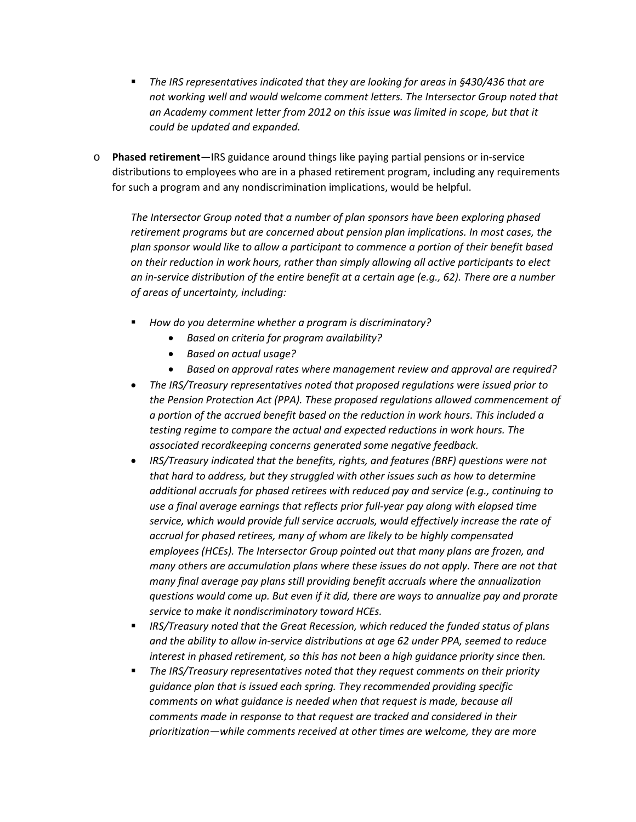- **The IRS representatives indicated that they are looking for areas in §430/436 that are** *not working well and would welcome comment letters. The Intersector Group noted that an Academy comment letter from 2012 on this issue was limited in scope, but that it could be updated and expanded.*
- o **Phased retirement**—IRS guidance around things like paying partial pensions or in-service distributions to employees who are in a phased retirement program, including any requirements for such a program and any nondiscrimination implications, would be helpful.

*The Intersector Group noted that a number of plan sponsors have been exploring phased retirement programs but are concerned about pension plan implications. In most cases, the plan sponsor would like to allow a participant to commence a portion of their benefit based on their reduction in work hours, rather than simply allowing all active participants to elect an in-service distribution of the entire benefit at a certain age (e.g., 62). There are a number of areas of uncertainty, including:*

- *How do you determine whether a program is discriminatory?*
	- *Based on criteria for program availability?*
	- *Based on actual usage?*
	- *Based on approval rates where management review and approval are required?*
- *The IRS/Treasury representatives noted that proposed regulations were issued prior to the Pension Protection Act (PPA). These proposed regulations allowed commencement of a portion of the accrued benefit based on the reduction in work hours. This included a testing regime to compare the actual and expected reductions in work hours. The associated recordkeeping concerns generated some negative feedback.*
- *IRS/Treasury indicated that the benefits, rights, and features (BRF) questions were not that hard to address, but they struggled with other issues such as how to determine additional accruals for phased retirees with reduced pay and service (e.g., continuing to use a final average earnings that reflects prior full-year pay along with elapsed time service, which would provide full service accruals, would effectively increase the rate of accrual for phased retirees, many of whom are likely to be highly compensated employees (HCEs). The Intersector Group pointed out that many plans are frozen, and many others are accumulation plans where these issues do not apply. There are not that many final average pay plans still providing benefit accruals where the annualization questions would come up. But even if it did, there are ways to annualize pay and prorate service to make it nondiscriminatory toward HCEs.*
- *IRS/Treasury noted that the Great Recession, which reduced the funded status of plans and the ability to allow in-service distributions at age 62 under PPA, seemed to reduce interest in phased retirement, so this has not been a high guidance priority since then.*
- *The IRS/Treasury representatives noted that they request comments on their priority guidance plan that is issued each spring. They recommended providing specific comments on what guidance is needed when that request is made, because all comments made in response to that request are tracked and considered in their prioritization—while comments received at other times are welcome, they are more*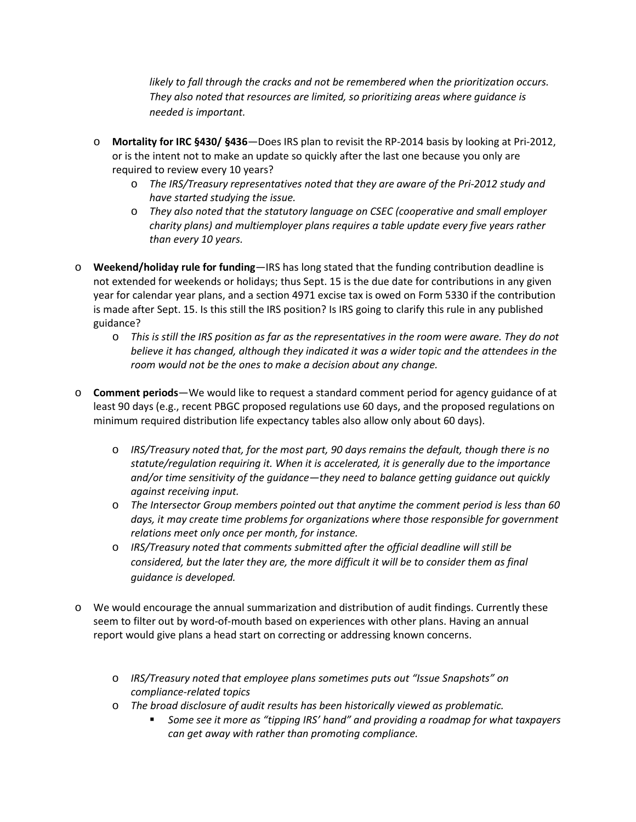*likely to fall through the cracks and not be remembered when the prioritization occurs. They also noted that resources are limited, so prioritizing areas where guidance is needed is important.*

- o **Mortality for IRC §430/ §436**—Does IRS plan to revisit the RP-2014 basis by looking at Pri-2012, or is the intent not to make an update so quickly after the last one because you only are required to review every 10 years?
	- o *The IRS/Treasury representatives noted that they are aware of the Pri-2012 study and have started studying the issue.*
	- o *They also noted that the statutory language on CSEC (cooperative and small employer charity plans) and multiemployer plans requires a table update every five years rather than every 10 years.*
- o **Weekend/holiday rule for funding**—IRS has long stated that the funding contribution deadline is not extended for weekends or holidays; thus Sept. 15 is the due date for contributions in any given year for calendar year plans, and a section 4971 excise tax is owed on Form 5330 if the contribution is made after Sept. 15. Is this still the IRS position? Is IRS going to clarify this rule in any published guidance?
	- o *This is still the IRS position as far as the representatives in the room were aware. They do not believe it has changed, although they indicated it was a wider topic and the attendees in the room would not be the ones to make a decision about any change.*
- o **Comment periods**—We would like to request a standard comment period for agency guidance of at least 90 days (e.g., recent PBGC proposed regulations use 60 days, and the proposed regulations on minimum required distribution life expectancy tables also allow only about 60 days).
	- o *IRS/Treasury noted that, for the most part, 90 days remains the default, though there is no statute/regulation requiring it. When it is accelerated, it is generally due to the importance and/or time sensitivity of the guidance—they need to balance getting guidance out quickly against receiving input.*
	- o *The Intersector Group members pointed out that anytime the comment period is less than 60 days, it may create time problems for organizations where those responsible for government relations meet only once per month, for instance.*
	- o *IRS/Treasury noted that comments submitted after the official deadline will still be considered, but the later they are, the more difficult it will be to consider them as final guidance is developed.*
- o We would encourage the annual summarization and distribution of audit findings. Currently these seem to filter out by word-of-mouth based on experiences with other plans. Having an annual report would give plans a head start on correcting or addressing known concerns.
	- o *IRS/Treasury noted that employee plans sometimes puts out "Issue Snapshots" on compliance-related topics*
	- o *The broad disclosure of audit results has been historically viewed as problematic.*
		- *Some see it more as "tipping IRS' hand" and providing a roadmap for what taxpayers can get away with rather than promoting compliance.*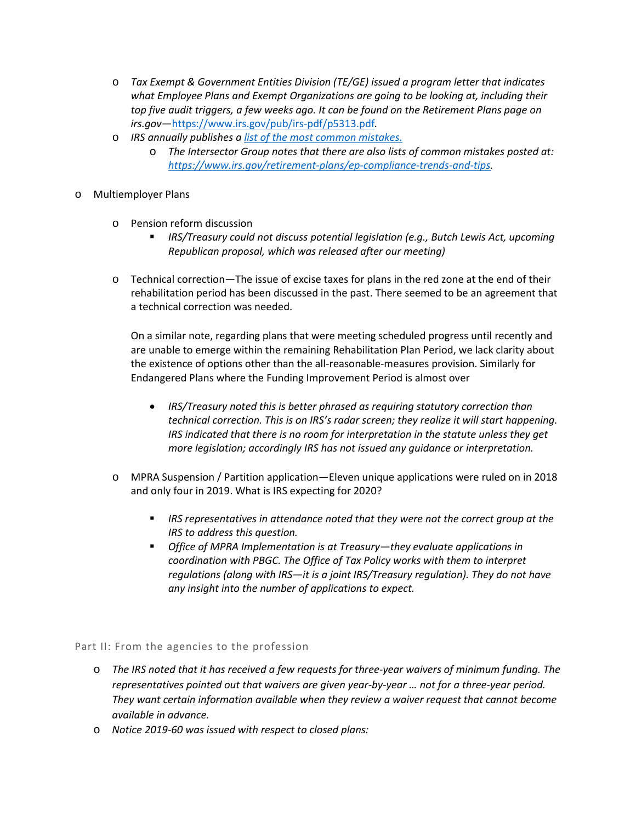- o *Tax Exempt & Government Entities Division (TE/GE) issued a program letter that indicates what Employee Plans and Exempt Organizations are going to be looking at, including their top five audit triggers, a few weeks ago. It can be found on the Retirement Plans page on irs.gov—*<https://www.irs.gov/pub/irs-pdf/p5313.pdf>*.*
- o *IRS annually publishes a [list of the most common mistakes.](https://www.irs.gov/retirement-plans/plan-sponsor/fixing-common-plan-mistakes)*
	- o *The Intersector Group notes that there are also lists of common mistakes posted at: [https://www.irs.gov/retirement-plans/ep-compliance-trends-and-tips.](https://www.irs.gov/retirement-plans/ep-compliance-trends-and-tips)*
- o Multiemployer Plans
	- o Pension reform discussion
		- *IRS/Treasury could not discuss potential legislation (e.g., Butch Lewis Act, upcoming Republican proposal, which was released after our meeting)*
	- o Technical correction—The issue of excise taxes for plans in the red zone at the end of their rehabilitation period has been discussed in the past. There seemed to be an agreement that a technical correction was needed.

On a similar note, regarding plans that were meeting scheduled progress until recently and are unable to emerge within the remaining Rehabilitation Plan Period, we lack clarity about the existence of options other than the all-reasonable-measures provision. Similarly for Endangered Plans where the Funding Improvement Period is almost over

- *IRS/Treasury noted this is better phrased as requiring statutory correction than technical correction. This is on IRS's radar screen; they realize it will start happening. IRS indicated that there is no room for interpretation in the statute unless they get more legislation; accordingly IRS has not issued any guidance or interpretation.*
- o MPRA Suspension / Partition application—Eleven unique applications were ruled on in 2018 and only four in 2019. What is IRS expecting for 2020?
	- *IRS representatives in attendance noted that they were not the correct group at the IRS to address this question.*
	- *Office of MPRA Implementation is at Treasury—they evaluate applications in coordination with PBGC. The Office of Tax Policy works with them to interpret regulations (along with IRS—it is a joint IRS/Treasury regulation). They do not have any insight into the number of applications to expect.*

## Part II: From the agencies to the profession

- o *The IRS noted that it has received a few requests for three-year waivers of minimum funding. The representatives pointed out that waivers are given year-by-year … not for a three-year period. They want certain information available when they review a waiver request that cannot become available in advance.*
- o *Notice 2019-60 was issued with respect to closed plans:*